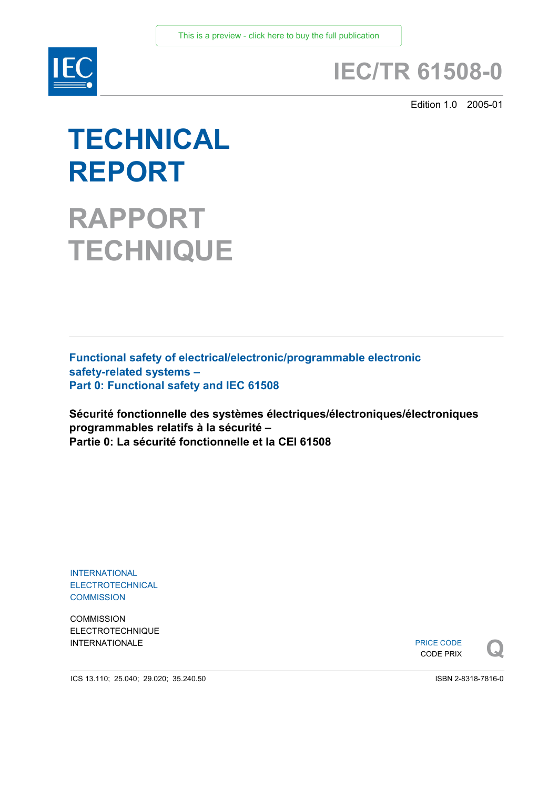

## **IEC/TR 61508-0**

Edition 1.0 2005-01

# **TECHNICAL REPORT**

**RAPPORT TECHNIQUE**

**Functional safety of electrical/electronic/programmable electronic safety-related systems – Part 0: Functional safety and IEC 61508** 

**Sécurité fonctionnelle des systèmes électriques/électroniques/électroniques programmables relatifs à la sécurité – Partie 0: La sécurité fonctionnelle et la CEI 61508** 

INTERNATIONAL ELECTROTECHNICAL **COMMISSION** 

**COMMISSION** ELECTROTECHNIQUE

INTERNATIONALE PRICE CODE PRICE CODE PRICE CODE PRICE CODE PRIX PRICE CODE CODE PRIX



ICS 13.110; 25.040; 29.020; 35.240.50

ISBN 2-8318-7816-0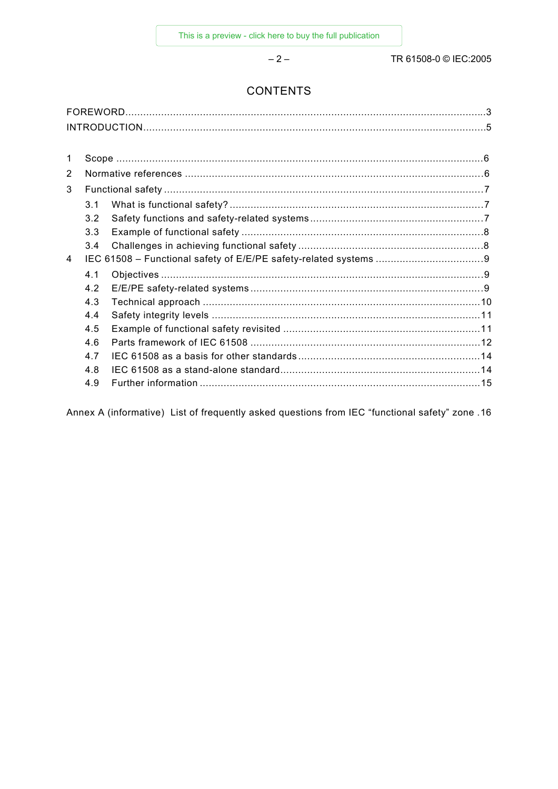$-2-$ 

TR 61508-0 © IEC:2005

## **CONTENTS**

| 1 |      |  |  |  |  |  |
|---|------|--|--|--|--|--|
| 2 |      |  |  |  |  |  |
| 3 |      |  |  |  |  |  |
|   | 3.1  |  |  |  |  |  |
|   | 3.2  |  |  |  |  |  |
|   | 3.3  |  |  |  |  |  |
|   | 3.4  |  |  |  |  |  |
| 4 | IEC. |  |  |  |  |  |
|   | 4.1  |  |  |  |  |  |
|   | 4.2  |  |  |  |  |  |
|   | 4.3  |  |  |  |  |  |
|   | 4.4  |  |  |  |  |  |
|   | 4.5  |  |  |  |  |  |
|   | 4.6  |  |  |  |  |  |
|   | 4.7  |  |  |  |  |  |
|   | 4.8  |  |  |  |  |  |
|   | 4.9  |  |  |  |  |  |
|   |      |  |  |  |  |  |

Annex A (informative) List of frequently asked questions from IEC "functional safety" zone .16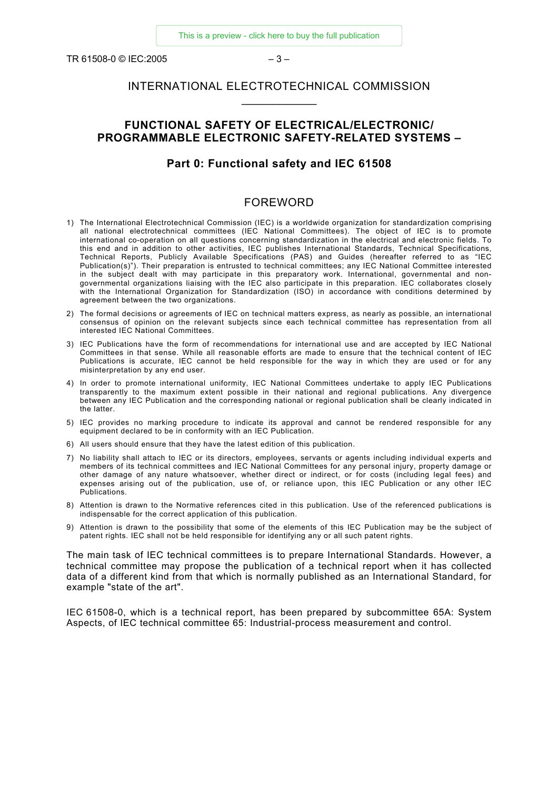TR 61508-0 IEC:2005 – 5 – TR 61508-0 © IEC:2005 – 3 –

## INTERNATIONAL ELECTROTECHNICAL COMMISSION  $\frac{1}{2}$

## **FUNCTIONAL SAFETY OF ELECTRICAL/ELECTRONIC/ PROGRAMMABLE ELECTRONIC SAFETY-RELATED SYSTEMS –**

### **Part 0: Functional safety and IEC 61508**

## FOREWORD

- 1) The International Electrotechnical Commission (IEC) is a worldwide organization for standardization comprising all national electrotechnical committees (IEC National Committees). The object of IEC is to promote international co-operation on all questions concerning standardization in the electrical and electronic fields. To this end and in addition to other activities, IEC publishes International Standards, Technical Specifications, Technical Reports, Publicly Available Specifications (PAS) and Guides (hereafter referred to as "IEC Publication(s)"). Their preparation is entrusted to technical committees; any IEC National Committee interested in the subject dealt with may participate in this preparatory work. International, governmental and nongovernmental organizations liaising with the IEC also participate in this preparation. IEC collaborates closely with the International Organization for Standardization (ISO) in accordance with conditions determined by agreement between the two organizations.
- 2) The formal decisions or agreements of IEC on technical matters express, as nearly as possible, an international consensus of opinion on the relevant subjects since each technical committee has representation from all interested IEC National Committees.
- 3) IEC Publications have the form of recommendations for international use and are accepted by IEC National Committees in that sense. While all reasonable efforts are made to ensure that the technical content of IEC Publications is accurate, IEC cannot be held responsible for the way in which they are used or for any misinterpretation by any end user.
- 4) In order to promote international uniformity, IEC National Committees undertake to apply IEC Publications transparently to the maximum extent possible in their national and regional publications. Any divergence between any IEC Publication and the corresponding national or regional publication shall be clearly indicated in the latter.
- 5) IEC provides no marking procedure to indicate its approval and cannot be rendered responsible for any equipment declared to be in conformity with an IEC Publication.
- 6) All users should ensure that they have the latest edition of this publication.
- 7) No liability shall attach to IEC or its directors, employees, servants or agents including individual experts and members of its technical committees and IEC National Committees for any personal injury, property damage or other damage of any nature whatsoever, whether direct or indirect, or for costs (including legal fees) and expenses arising out of the publication, use of, or reliance upon, this IEC Publication or any other IEC Publications.
- 8) Attention is drawn to the Normative references cited in this publication. Use of the referenced publications is indispensable for the correct application of this publication.
- 9) Attention is drawn to the possibility that some of the elements of this IEC Publication may be the subject of patent rights. IEC shall not be held responsible for identifying any or all such patent rights.

The main task of IEC technical committees is to prepare International Standards. However, a technical committee may propose the publication of a technical report when it has collected data of a different kind from that which is normally published as an International Standard, for example "state of the art".

IEC 61508-0, which is a technical report, has been prepared by subcommittee 65A: System Aspects, of IEC technical committee 65: Industrial-process measurement and control.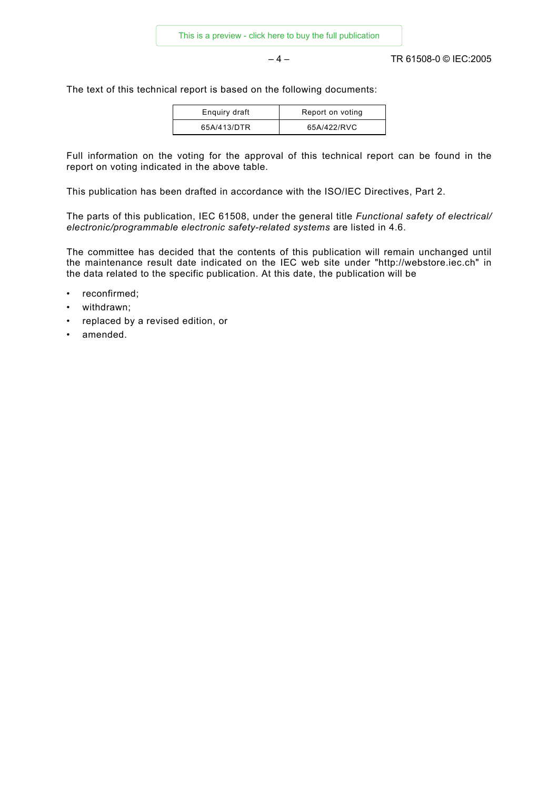$-4-$ 

– 4 – TR 61508-0 © IEC:2005

The text of this technical report is based on the following documents:

| Enguiry draft | Report on voting |
|---------------|------------------|
| 65A/413/DTR   | 65A/422/RVC      |

Full information on the voting for the approval of this technical report can be found in the report on voting indicated in the above table.

This publication has been drafted in accordance with the ISO/IEC Directives, Part 2.

The parts of this publication, IEC 61508, under the general title *Functional safety of electrical/ electronic/programmable electronic safety-related systems* are listed in 4.6.

The committee has decided that the contents of this publication will remain unchanged until the maintenance result date indicated on the IEC web site under "http://webstore.iec.ch" in the data related to the specific publication. At this date, the publication will be

- reconfirmed;
- withdrawn;
- replaced by a revised edition, or
- amended.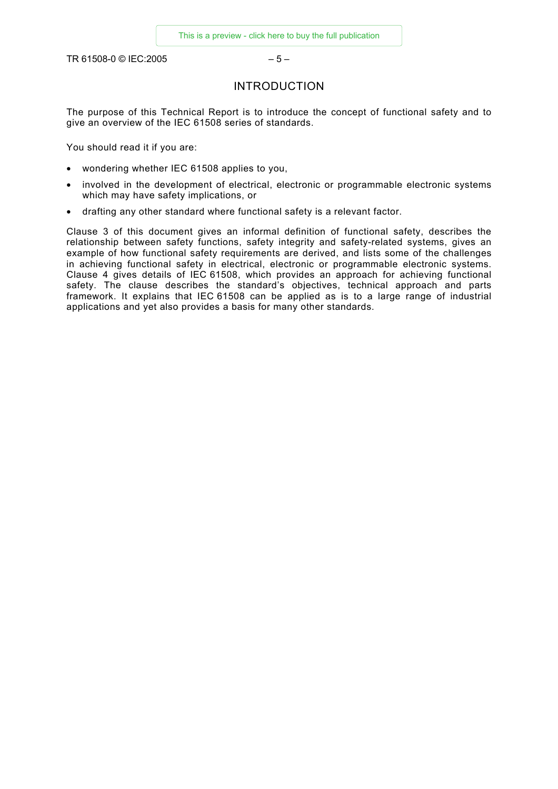$TR 61508-0 @ IEC:2005$  – 5 –

## INTRODUCTION

The purpose of this Technical Report is to introduce the concept of functional safety and to give an overview of the IEC 61508 series of standards.

You should read it if you are:

- wondering whether IEC 61508 applies to you,
- involved in the development of electrical, electronic or programmable electronic systems which may have safety implications, or
- drafting any other standard where functional safety is a relevant factor.

Clause 3 of this document gives an informal definition of functional safety, describes the relationship between safety functions, safety integrity and safety-related systems, gives an example of how functional safety requirements are derived, and lists some of the challenges in achieving functional safety in electrical, electronic or programmable electronic systems. Clause 4 gives details of IEC 61508, which provides an approach for achieving functional safety. The clause describes the standard's objectives, technical approach and parts framework. It explains that IEC 61508 can be applied as is to a large range of industrial applications and yet also provides a basis for many other standards.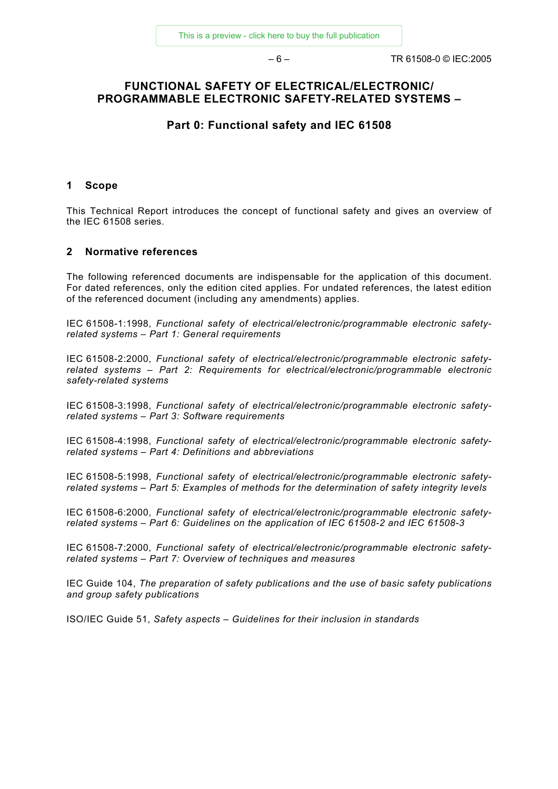$-6-$ 

## **FUNCTIONAL SAFETY OF ELECTRICAL/ELECTRONIC/ PROGRAMMABLE ELECTRONIC SAFETY-RELATED SYSTEMS –**

## **Part 0: Functional safety and IEC 61508**

#### **1 Scope**

This Technical Report introduces the concept of functional safety and gives an overview of the IEC 61508 series.

#### **2 Normative references**

The following referenced documents are indispensable for the application of this document. For dated references, only the edition cited applies. For undated references, the latest edition of the referenced document (including any amendments) applies.

IEC 61508-1:1998, *Functional safety of electrical/electronic/programmable electronic safetyrelated systems – Part 1: General requirements*

IEC 61508-2:2000, *Functional safety of electrical/electronic/programmable electronic safetyrelated systems – Part 2: Requirements for electrical/electronic/programmable electronic safety-related systems*

IEC 61508-3:1998, *Functional safety of electrical/electronic/programmable electronic safetyrelated systems – Part 3: Software requirements*

IEC 61508-4:1998, *Functional safety of electrical/electronic/programmable electronic safetyrelated systems – Part 4: Definitions and abbreviations*

IEC 61508-5:1998, *Functional safety of electrical/electronic/programmable electronic safetyrelated systems – Part 5: Examples of methods for the determination of safety integrity levels*

IEC 61508-6:2000, *Functional safety of electrical/electronic/programmable electronic safetyrelated systems – Part 6: Guidelines on the application of IEC 61508-2 and IEC 61508-3*

IEC 61508-7:2000, *Functional safety of electrical/electronic/programmable electronic safetyrelated systems – Part 7: Overview of techniques and measures*

IEC Guide 104, *The preparation of safety publications and the use of basic safety publications and group safety publications*

ISO/IEC Guide 51, *Safety aspects – Guidelines for their inclusion in standards*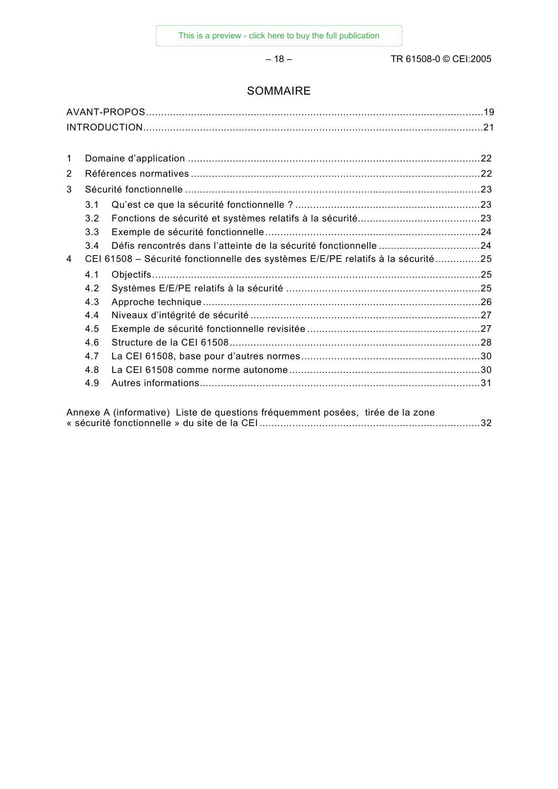– 2 – TR 61508-0 CEI:2005 – 18 – TR 61508-0 © CEI:2005

## SOMMAIRE

| 1              |     |                                                                                 |  |  |  |  |  |
|----------------|-----|---------------------------------------------------------------------------------|--|--|--|--|--|
|                |     |                                                                                 |  |  |  |  |  |
| 2              |     |                                                                                 |  |  |  |  |  |
| 3              |     |                                                                                 |  |  |  |  |  |
|                | 3.1 |                                                                                 |  |  |  |  |  |
|                | 3.2 |                                                                                 |  |  |  |  |  |
|                | 3.3 |                                                                                 |  |  |  |  |  |
|                | 3.4 |                                                                                 |  |  |  |  |  |
| $\overline{4}$ |     | CEI 61508 - Sécurité fonctionnelle des systèmes E/E/PE relatifs à la sécurité25 |  |  |  |  |  |
|                | 4.1 |                                                                                 |  |  |  |  |  |
|                | 4.2 |                                                                                 |  |  |  |  |  |
|                | 4.3 |                                                                                 |  |  |  |  |  |
|                | 4.4 |                                                                                 |  |  |  |  |  |
|                | 4.5 |                                                                                 |  |  |  |  |  |
|                | 4.6 |                                                                                 |  |  |  |  |  |
|                | 4.7 |                                                                                 |  |  |  |  |  |
|                | 4.8 |                                                                                 |  |  |  |  |  |
|                | 4.9 |                                                                                 |  |  |  |  |  |
|                |     |                                                                                 |  |  |  |  |  |

|  |  | Annexe A (informative) Liste de questions fréquemment posées, tirée de la zone |  |
|--|--|--------------------------------------------------------------------------------|--|
|  |  |                                                                                |  |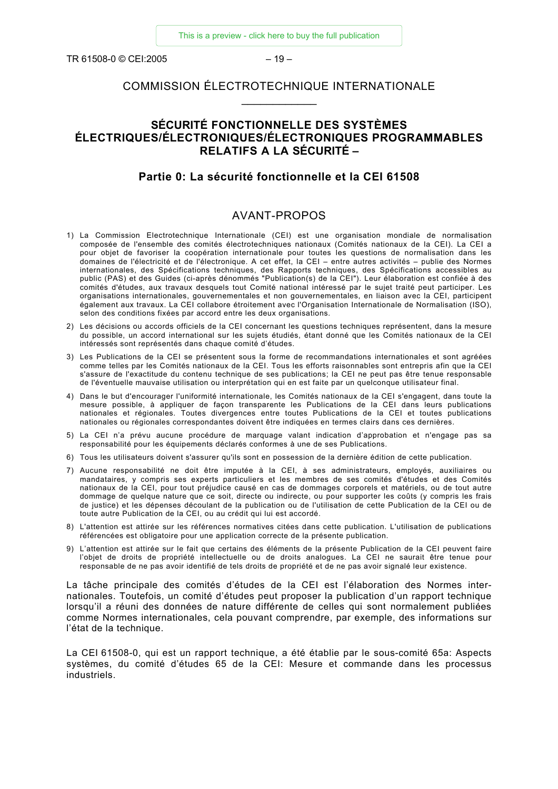– 4 – TR 61508-0 CEI:2005 TR 61508-0 © CEI:2005 – 19 –

## COMMISSION ÉLECTROTECHNIQUE INTERNATIONALE  $\frac{1}{2}$

## **SÉCURITÉ FONCTIONNELLE DES SYSTÈMES ÉLECTRIQUES/ÉLECTRONIQUES/ÉLECTRONIQUES PROGRAMMABLES RELATIFS A LA SÉCURITÉ –**

## **Partie 0: La sécurité fonctionnelle et la CEI 61508**

## AVANT-PROPOS

- 1) La Commission Electrotechnique Internationale (CEI) est une organisation mondiale de normalisation composée de l'ensemble des comités électrotechniques nationaux (Comités nationaux de la CEI). La CEI a pour objet de favoriser la coopération internationale pour toutes les questions de normalisation dans les domaines de l'électricité et de l'électronique. A cet effet, la CEI – entre autres activités – publie des Normes internationales, des Spécifications techniques, des Rapports techniques, des Spécifications accessibles au public (PAS) et des Guides (ci-après dénommés "Publication(s) de la CEI"). Leur élaboration est confiée à des comités d'études, aux travaux desquels tout Comité national intéressé par le sujet traité peut participer. Les organisations internationales, gouvernementales et non gouvernementales, en liaison avec la CEI, participent également aux travaux. La CEI collabore étroitement avec l'Organisation Internationale de Normalisation (ISO), selon des conditions fixées par accord entre les deux organisations.
- 2) Les décisions ou accords officiels de la CEI concernant les questions techniques représentent, dans la mesure du possible, un accord international sur les sujets étudiés, étant donné que les Comités nationaux de la CEI intéressés sont représentés dans chaque comité d'études.
- 3) Les Publications de la CEI se présentent sous la forme de recommandations internationales et sont agréées comme telles par les Comités nationaux de la CEI. Tous les efforts raisonnables sont entrepris afin que la CEI s'assure de l'exactitude du contenu technique de ses publications; la CEI ne peut pas être tenue responsable de l'éventuelle mauvaise utilisation ou interprétation qui en est faite par un quelconque utilisateur final.
- 4) Dans le but d'encourager l'uniformité internationale, les Comités nationaux de la CEI s'engagent, dans toute la mesure possible, à appliquer de façon transparente les Publications de la CEI dans leurs publications nationales et régionales. Toutes divergences entre toutes Publications de la CEI et toutes publications nationales ou régionales correspondantes doivent être indiquées en termes clairs dans ces dernières.
- 5) La CEI n'a prévu aucune procédure de marquage valant indication d'approbation et n'engage pas sa responsabilité pour les équipements déclarés conformes à une de ses Publications.
- 6) Tous les utilisateurs doivent s'assurer qu'ils sont en possession de la dernière édition de cette publication.
- 7) Aucune responsabilité ne doit être imputée à la CEI, à ses administrateurs, employés, auxiliaires ou mandataires, y compris ses experts particuliers et les membres de ses comités d'études et des Comités nationaux de la CEI, pour tout préjudice causé en cas de dommages corporels et matériels, ou de tout autre dommage de quelque nature que ce soit, directe ou indirecte, ou pour supporter les coûts (y compris les frais de justice) et les dépenses découlant de la publication ou de l'utilisation de cette Publication de la CEI ou de toute autre Publication de la CEI, ou au crédit qui lui est accordé.
- 8) L'attention est attirée sur les références normatives citées dans cette publication. L'utilisation de publications référencées est obligatoire pour une application correcte de la présente publication.
- 9) L'attention est attirée sur le fait que certains des éléments de la présente Publication de la CEI peuvent faire l'objet de droits de propriété intellectuelle ou de droits analogues. La CEI ne saurait être tenue pour responsable de ne pas avoir identifié de tels droits de propriété et de ne pas avoir signalé leur existence.

La tâche principale des comités d'études de la CEI est l'élaboration des Normes internationales. Toutefois, un comité d'études peut proposer la publication d'un rapport technique lorsqu'il a réuni des données de nature différente de celles qui sont normalement publiées comme Normes internationales, cela pouvant comprendre, par exemple, des informations sur l'état de la technique.

La CEI 61508-0, qui est un rapport technique, a été établie par le sous-comité 65a: Aspects systèmes, du comité d'études 65 de la CEI: Mesure et commande dans les processus industriels.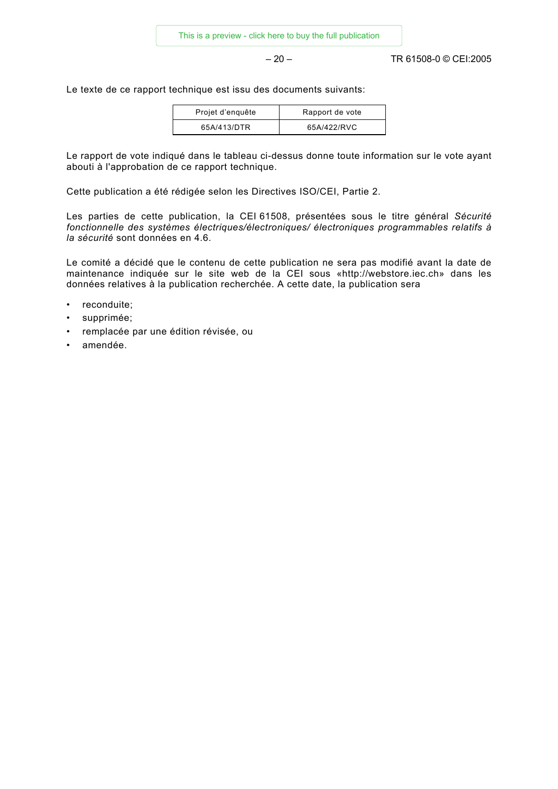$-20 -$  TR 61508-0 © CEI:2005

Le texte de ce rapport technique est issu des documents suivants:

| Projet d'enquête | Rapport de vote |
|------------------|-----------------|
| 65A/413/DTR      | 65A/422/RVC     |

Le rapport de vote indiqué dans le tableau ci-dessus donne toute information sur le vote ayant abouti à l'approbation de ce rapport technique.

Cette publication a été rédigée selon les Directives ISO/CEI, Partie 2.

Les parties de cette publication, la CEI 61508, présentées sous le titre général *Sécurité fonctionnelle des systèmes électriques/électroniques/ électroniques programmables relatifs à la sécurité* sont données en 4.6.

Le comité a décidé que le contenu de cette publication ne sera pas modifié avant la date de maintenance indiquée sur le site web de la CEI sous «http://webstore.iec.ch» dans les données relatives à la publication recherchée. A cette date, la publication sera

- reconduite;
- supprimée;
- remplacée par une édition révisée, ou
- amendée.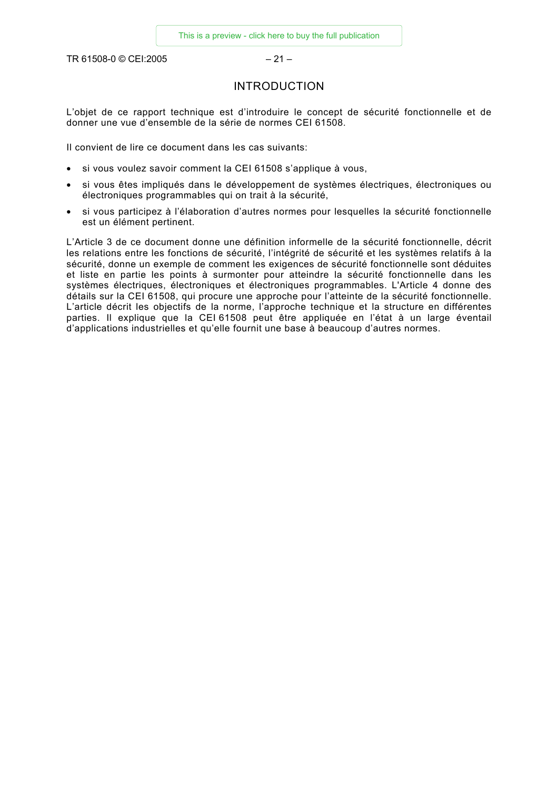– 8 – TR 61508-0 CEI:2005 TR 61508-0 © CEI:2005 – 21 –

## INTRODUCTION

L'objet de ce rapport technique est d'introduire le concept de sécurité fonctionnelle et de donner une vue d'ensemble de la série de normes CEI 61508.

Il convient de lire ce document dans les cas suivants:

- si vous voulez savoir comment la CEI 61508 s'applique à vous,
- si vous êtes impliqués dans le développement de systèmes électriques, électroniques ou électroniques programmables qui on trait à la sécurité,
- si vous participez à l'élaboration d'autres normes pour lesquelles la sécurité fonctionnelle est un élément pertinent.

L'Article 3 de ce document donne une définition informelle de la sécurité fonctionnelle, décrit les relations entre les fonctions de sécurité, l'intégrité de sécurité et les systèmes relatifs à la sécurité, donne un exemple de comment les exigences de sécurité fonctionnelle sont déduites et liste en partie les points à surmonter pour atteindre la sécurité fonctionnelle dans les systèmes électriques, électroniques et électroniques programmables. L'Article 4 donne des détails sur la CEI 61508, qui procure une approche pour l'atteinte de la sécurité fonctionnelle. L'article décrit les objectifs de la norme, l'approche technique et la structure en différentes parties. Il explique que la CEI 61508 peut être appliquée en l'état à un large éventail d'applications industrielles et qu'elle fournit une base à beaucoup d'autres normes.